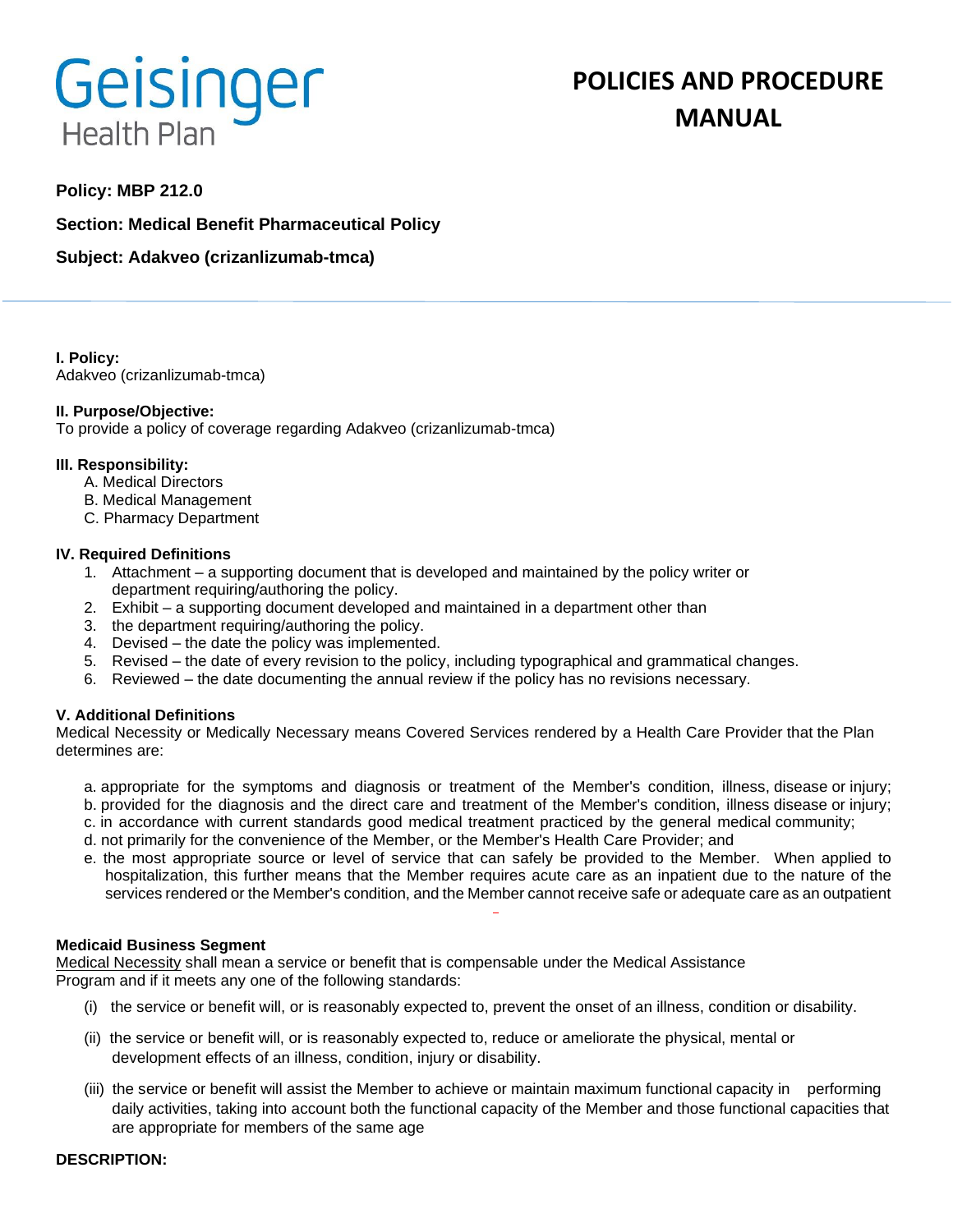# Geisinger **Health Plan**

# **POLICIES AND PROCEDURE MANUAL**

# **Policy: MBP 212.0**

**Section: Medical Benefit Pharmaceutical Policy**

**Subject: Adakveo (crizanlizumab-tmca)**

**I. Policy:** Adakveo (crizanlizumab-tmca)

### **II. Purpose/Objective:**

To provide a policy of coverage regarding Adakveo (crizanlizumab-tmca)

### **III. Responsibility:**

- A. Medical Directors
- B. Medical Management
- C. Pharmacy Department

### **IV. Required Definitions**

- 1. Attachment a supporting document that is developed and maintained by the policy writer or department requiring/authoring the policy.
- 2. Exhibit a supporting document developed and maintained in a department other than
- 3. the department requiring/authoring the policy.
- 4. Devised the date the policy was implemented.
- 5. Revised the date of every revision to the policy, including typographical and grammatical changes.
- 6. Reviewed the date documenting the annual review if the policy has no revisions necessary.

## **V. Additional Definitions**

Medical Necessity or Medically Necessary means Covered Services rendered by a Health Care Provider that the Plan determines are:

- a. appropriate for the symptoms and diagnosis or treatment of the Member's condition, illness, disease or injury; b. provided for the diagnosis and the direct care and treatment of the Member's condition, illness disease or injury;
- c. in accordance with current standards good medical treatment practiced by the general medical community;
- d. not primarily for the convenience of the Member, or the Member's Health Care Provider; and
- e. the most appropriate source or level of service that can safely be provided to the Member. When applied to hospitalization, this further means that the Member requires acute care as an inpatient due to the nature of the services rendered or the Member's condition, and the Member cannot receive safe or adequate care as an outpatient

#### **Medicaid Business Segment**

Medical Necessity shall mean a service or benefit that is compensable under the Medical Assistance Program and if it meets any one of the following standards:

- (i) the service or benefit will, or is reasonably expected to, prevent the onset of an illness, condition or disability.
- (ii) the service or benefit will, or is reasonably expected to, reduce or ameliorate the physical, mental or development effects of an illness, condition, injury or disability.
- (iii) the service or benefit will assist the Member to achieve or maintain maximum functional capacity in performing daily activities, taking into account both the functional capacity of the Member and those functional capacities that are appropriate for members of the same age

#### **DESCRIPTION:**